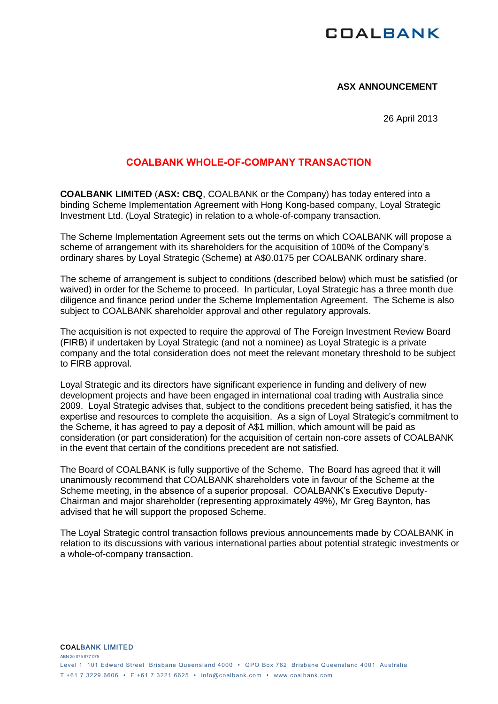# **COALBANK**

## **ASX ANNOUNCEMENT**

26 April 2013

## **COALBANK WHOLE-OF-COMPANY TRANSACTION**

**COALBANK LIMITED** (**ASX: CBQ**, COALBANK or the Company) has today entered into a binding Scheme Implementation Agreement with Hong Kong-based company, Loyal Strategic Investment Ltd. (Loyal Strategic) in relation to a whole-of-company transaction.

The Scheme Implementation Agreement sets out the terms on which COALBANK will propose a scheme of arrangement with its shareholders for the acquisition of 100% of the Company's ordinary shares by Loyal Strategic (Scheme) at A\$0.0175 per COALBANK ordinary share.

The scheme of arrangement is subject to conditions (described below) which must be satisfied (or waived) in order for the Scheme to proceed. In particular, Loyal Strategic has a three month due diligence and finance period under the Scheme Implementation Agreement. The Scheme is also subject to COALBANK shareholder approval and other regulatory approvals.

The acquisition is not expected to require the approval of The Foreign Investment Review Board (FIRB) if undertaken by Loyal Strategic (and not a nominee) as Loyal Strategic is a private company and the total consideration does not meet the relevant monetary threshold to be subject to FIRB approval.

Loyal Strategic and its directors have significant experience in funding and delivery of new development projects and have been engaged in international coal trading with Australia since 2009. Loyal Strategic advises that, subject to the conditions precedent being satisfied, it has the expertise and resources to complete the acquisition. As a sign of Loyal Strategic's commitment to the Scheme, it has agreed to pay a deposit of A\$1 million, which amount will be paid as consideration (or part consideration) for the acquisition of certain non-core assets of COALBANK in the event that certain of the conditions precedent are not satisfied.

The Board of COALBANK is fully supportive of the Scheme. The Board has agreed that it will unanimously recommend that COALBANK shareholders vote in favour of the Scheme at the Scheme meeting, in the absence of a superior proposal. COALBANK's Executive Deputy-Chairman and major shareholder (representing approximately 49%), Mr Greg Baynton, has advised that he will support the proposed Scheme.

The Loyal Strategic control transaction follows previous announcements made by COALBANK in relation to its discussions with various international parties about potential strategic investments or a whole-of-company transaction.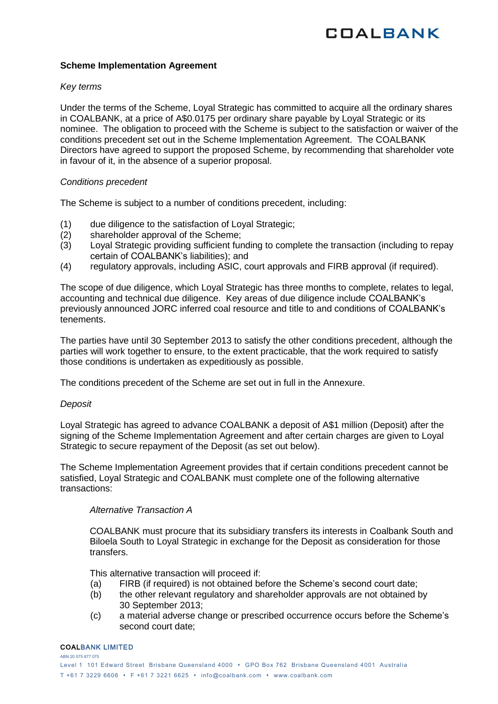## **Scheme Implementation Agreement**

## *Key terms*

Under the terms of the Scheme, Loyal Strategic has committed to acquire all the ordinary shares in COALBANK, at a price of A\$0.0175 per ordinary share payable by Loyal Strategic or its nominee. The obligation to proceed with the Scheme is subject to the satisfaction or waiver of the conditions precedent set out in the Scheme Implementation Agreement. The COALBANK Directors have agreed to support the proposed Scheme, by recommending that shareholder vote in favour of it, in the absence of a superior proposal.

## *Conditions precedent*

The Scheme is subject to a number of conditions precedent, including:

- (1) due diligence to the satisfaction of Loyal Strategic;
- (2) shareholder approval of the Scheme;
- (3) Loyal Strategic providing sufficient funding to complete the transaction (including to repay certain of COALBANK's liabilities); and
- (4) regulatory approvals, including ASIC, court approvals and FIRB approval (if required).

The scope of due diligence, which Loyal Strategic has three months to complete, relates to legal, accounting and technical due diligence. Key areas of due diligence include COALBANK's previously announced JORC inferred coal resource and title to and conditions of COALBANK's tenements.

The parties have until 30 September 2013 to satisfy the other conditions precedent, although the parties will work together to ensure, to the extent practicable, that the work required to satisfy those conditions is undertaken as expeditiously as possible.

The conditions precedent of the Scheme are set out in full in the Annexure.

## *Deposit*

Loyal Strategic has agreed to advance COALBANK a deposit of A\$1 million (Deposit) after the signing of the Scheme Implementation Agreement and after certain charges are given to Loyal Strategic to secure repayment of the Deposit (as set out below).

The Scheme Implementation Agreement provides that if certain conditions precedent cannot be satisfied, Loyal Strategic and COALBANK must complete one of the following alternative transactions:

## *Alternative Transaction A*

COALBANK must procure that its subsidiary transfers its interests in Coalbank South and Biloela South to Loyal Strategic in exchange for the Deposit as consideration for those transfers.

This alternative transaction will proceed if:

- (a) FIRB (if required) is not obtained before the Scheme's second court date;
- (b) the other relevant regulatory and shareholder approvals are not obtained by 30 September 2013;
- (c) a material adverse change or prescribed occurrence occurs before the Scheme's second court date;

#### COALBANK LIMITED

ABN 20 075 877 075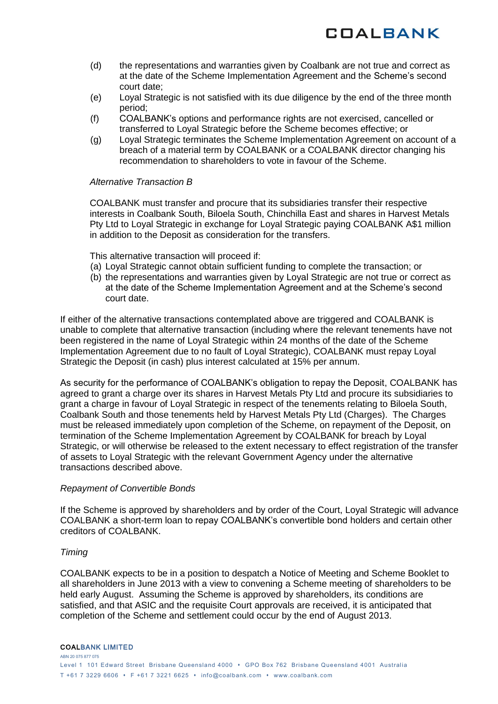

- (d) the representations and warranties given by Coalbank are not true and correct as at the date of the Scheme Implementation Agreement and the Scheme's second court date;
- (e) Loyal Strategic is not satisfied with its due diligence by the end of the three month period;
- (f) COALBANK's options and performance rights are not exercised, cancelled or transferred to Loyal Strategic before the Scheme becomes effective; or
- (g) Loyal Strategic terminates the Scheme Implementation Agreement on account of a breach of a material term by COALBANK or a COALBANK director changing his recommendation to shareholders to vote in favour of the Scheme.

## *Alternative Transaction B*

COALBANK must transfer and procure that its subsidiaries transfer their respective interests in Coalbank South, Biloela South, Chinchilla East and shares in Harvest Metals Pty Ltd to Loyal Strategic in exchange for Loyal Strategic paying COALBANK A\$1 million in addition to the Deposit as consideration for the transfers.

This alternative transaction will proceed if:

- (a) Loyal Strategic cannot obtain sufficient funding to complete the transaction; or
- (b) the representations and warranties given by Loyal Strategic are not true or correct as at the date of the Scheme Implementation Agreement and at the Scheme's second court date.

If either of the alternative transactions contemplated above are triggered and COALBANK is unable to complete that alternative transaction (including where the relevant tenements have not been registered in the name of Loyal Strategic within 24 months of the date of the Scheme Implementation Agreement due to no fault of Loyal Strategic), COALBANK must repay Loyal Strategic the Deposit (in cash) plus interest calculated at 15% per annum.

As security for the performance of COALBANK's obligation to repay the Deposit, COALBANK has agreed to grant a charge over its shares in Harvest Metals Pty Ltd and procure its subsidiaries to grant a charge in favour of Loyal Strategic in respect of the tenements relating to Biloela South, Coalbank South and those tenements held by Harvest Metals Pty Ltd (Charges). The Charges must be released immediately upon completion of the Scheme, on repayment of the Deposit, on termination of the Scheme Implementation Agreement by COALBANK for breach by Loyal Strategic, or will otherwise be released to the extent necessary to effect registration of the transfer of assets to Loyal Strategic with the relevant Government Agency under the alternative transactions described above.

## *Repayment of Convertible Bonds*

If the Scheme is approved by shareholders and by order of the Court, Loyal Strategic will advance COALBANK a short-term loan to repay COALBANK's convertible bond holders and certain other creditors of COALBANK.

## *Timing*

COALBANK expects to be in a position to despatch a Notice of Meeting and Scheme Booklet to all shareholders in June 2013 with a view to convening a Scheme meeting of shareholders to be held early August. Assuming the Scheme is approved by shareholders, its conditions are satisfied, and that ASIC and the requisite Court approvals are received, it is anticipated that completion of the Scheme and settlement could occur by the end of August 2013.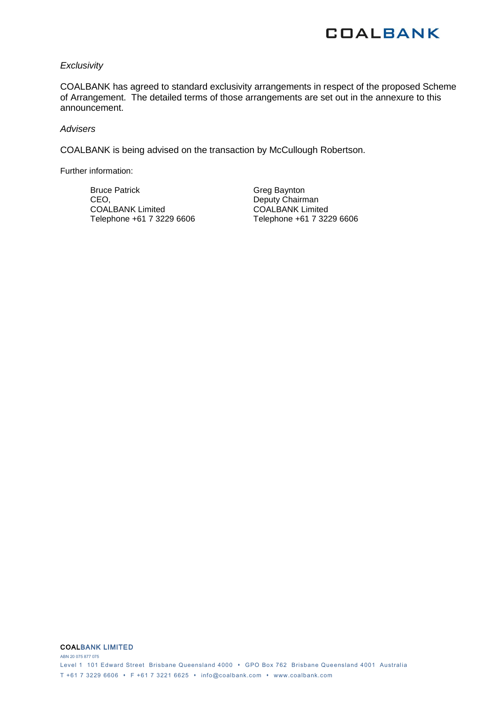

#### *Exclusivity*

COALBANK has agreed to standard exclusivity arrangements in respect of the proposed Scheme of Arrangement. The detailed terms of those arrangements are set out in the annexure to this announcement.

#### *Advisers*

COALBANK is being advised on the transaction by McCullough Robertson.

Further information:

Bruce Patrick CEO, COALBANK Limited Telephone +61 7 3229 6606

Greg Baynton Deputy Chairman COALBANK Limited Telephone +61 7 3229 6606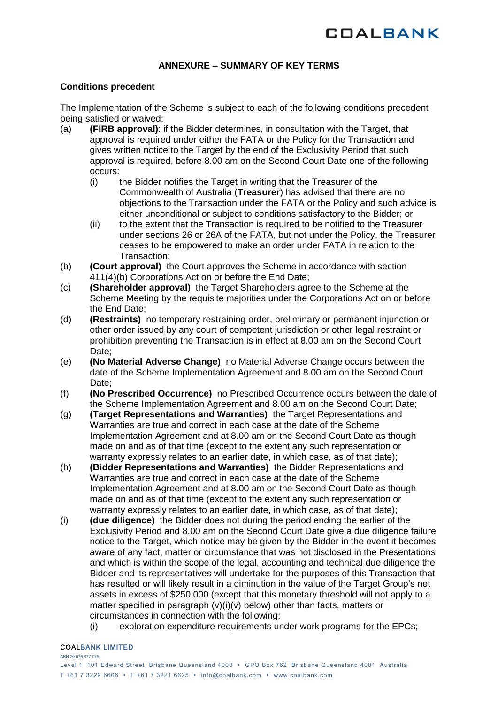## **ANNEXURE – SUMMARY OF KEY TERMS**

## **Conditions precedent**

The Implementation of the Scheme is subject to each of the following conditions precedent being satisfied or waived:

- (a) **(FIRB approval)**: if the Bidder determines, in consultation with the Target, that approval is required under either the FATA or the Policy for the Transaction and gives written notice to the Target by the end of the Exclusivity Period that such approval is required, before 8.00 am on the Second Court Date one of the following occurs:<br>(i) t
	- the Bidder notifies the Target in writing that the Treasurer of the Commonwealth of Australia (**Treasurer**) has advised that there are no objections to the Transaction under the FATA or the Policy and such advice is either unconditional or subject to conditions satisfactory to the Bidder; or
	- (ii) to the extent that the Transaction is required to be notified to the Treasurer under sections 26 or 26A of the FATA, but not under the Policy, the Treasurer ceases to be empowered to make an order under FATA in relation to the Transaction;
- (b) **(Court approval)** the Court approves the Scheme in accordance with section 411(4)(b) Corporations Act on or before the End Date;
- (c) **(Shareholder approval)** the Target Shareholders agree to the Scheme at the Scheme Meeting by the requisite majorities under the Corporations Act on or before the End Date;
- (d) **(Restraints)** no temporary restraining order, preliminary or permanent injunction or other order issued by any court of competent jurisdiction or other legal restraint or prohibition preventing the Transaction is in effect at 8.00 am on the Second Court Date:
- (e) **(No Material Adverse Change)** no Material Adverse Change occurs between the date of the Scheme Implementation Agreement and 8.00 am on the Second Court Date:
- (f) **(No Prescribed Occurrence)** no Prescribed Occurrence occurs between the date of the Scheme Implementation Agreement and 8.00 am on the Second Court Date;
- (g) **(Target Representations and Warranties)** the Target Representations and Warranties are true and correct in each case at the date of the Scheme Implementation Agreement and at 8.00 am on the Second Court Date as though made on and as of that time (except to the extent any such representation or warranty expressly relates to an earlier date, in which case, as of that date);
- (h) **(Bidder Representations and Warranties)** the Bidder Representations and Warranties are true and correct in each case at the date of the Scheme Implementation Agreement and at 8.00 am on the Second Court Date as though made on and as of that time (except to the extent any such representation or warranty expressly relates to an earlier date, in which case, as of that date);
- (i) **(due diligence)** the Bidder does not during the period ending the earlier of the Exclusivity Period and 8.00 am on the Second Court Date give a due diligence failure notice to the Target, which notice may be given by the Bidder in the event it becomes aware of any fact, matter or circumstance that was not disclosed in the Presentations and which is within the scope of the legal, accounting and technical due diligence the Bidder and its representatives will undertake for the purposes of this Transaction that has resulted or will likely result in a diminution in the value of the Target Group's net assets in excess of \$250,000 (except that this monetary threshold will not apply to a matter specified in paragraph (v[\)\(i\)\(v\)](#page-5-0) below) other than facts, matters or circumstances in connection with the following:
	- (i) exploration expenditure requirements under work programs for the EPCs;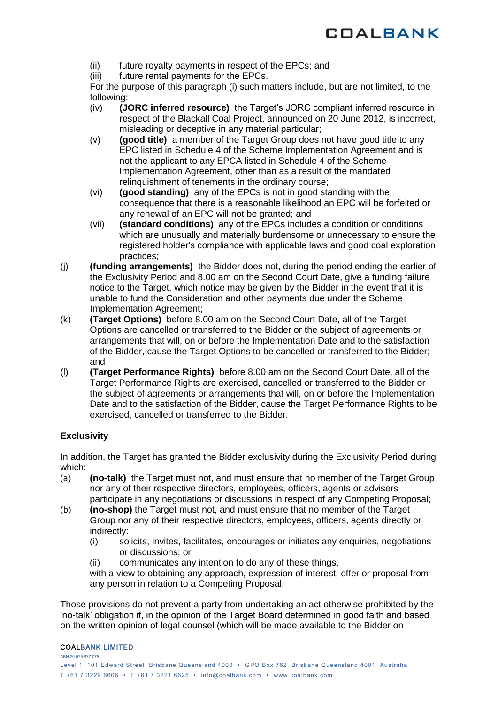

- (ii) future royalty payments in respect of the EPCs; and
- (iii) future rental payments for the EPCs.

For the purpose of this paragraph (i) such matters include, but are not limited, to the following:

- (iv) **(JORC inferred resource)** the Target's JORC compliant inferred resource in respect of the Blackall Coal Project, announced on 20 June 2012, is incorrect, misleading or deceptive in any material particular;
- <span id="page-5-0"></span>(v) **(good title)** a member of the Target Group does not have good title to any EPC listed in Schedule 4 of the Scheme Implementation Agreement and is not the applicant to any EPCA listed in Schedule 4 of the Scheme Implementation Agreement, other than as a result of the mandated relinquishment of tenements in the ordinary course;
- (vi) **(good standing)** any of the EPCs is not in good standing with the consequence that there is a reasonable likelihood an EPC will be forfeited or any renewal of an EPC will not be granted; and
- (vii) **(standard conditions)** any of the EPCs includes a condition or conditions which are unusually and materially burdensome or unnecessary to ensure the registered holder's compliance with applicable laws and good coal exploration practices;
- (j) **(funding arrangements)** the Bidder does not, during the period ending the earlier of the Exclusivity Period and 8.00 am on the Second Court Date, give a funding failure notice to the Target, which notice may be given by the Bidder in the event that it is unable to fund the Consideration and other payments due under the Scheme Implementation Agreement;
- (k) **(Target Options)** before 8.00 am on the Second Court Date, all of the Target Options are cancelled or transferred to the Bidder or the subject of agreements or arrangements that will, on or before the Implementation Date and to the satisfaction of the Bidder, cause the Target Options to be cancelled or transferred to the Bidder; and
- (l) **(Target Performance Rights)** before 8.00 am on the Second Court Date, all of the Target Performance Rights are exercised, cancelled or transferred to the Bidder or the subject of agreements or arrangements that will, on or before the Implementation Date and to the satisfaction of the Bidder, cause the Target Performance Rights to be exercised, cancelled or transferred to the Bidder.

## **Exclusivity**

In addition, the Target has granted the Bidder exclusivity during the Exclusivity Period during which:

- (a) **(no-talk)** the Target must not, and must ensure that no member of the Target Group nor any of their respective directors, employees, officers, agents or advisers participate in any negotiations or discussions in respect of any Competing Proposal;
- (b) **(no-shop)** the Target must not, and must ensure that no member of the Target Group nor any of their respective directors, employees, officers, agents directly or indirectly:
	- (i) solicits, invites, facilitates, encourages or initiates any enquiries, negotiations or discussions; or
	- (ii) communicates any intention to do any of these things,

with a view to obtaining any approach, expression of interest, offer or proposal from any person in relation to a Competing Proposal.

Those provisions do not prevent a party from undertaking an act otherwise prohibited by the 'no-talk' obligation if, in the opinion of the Target Board determined in good faith and based on the written opinion of legal counsel (which will be made available to the Bidder on

#### COALBANK LIMITED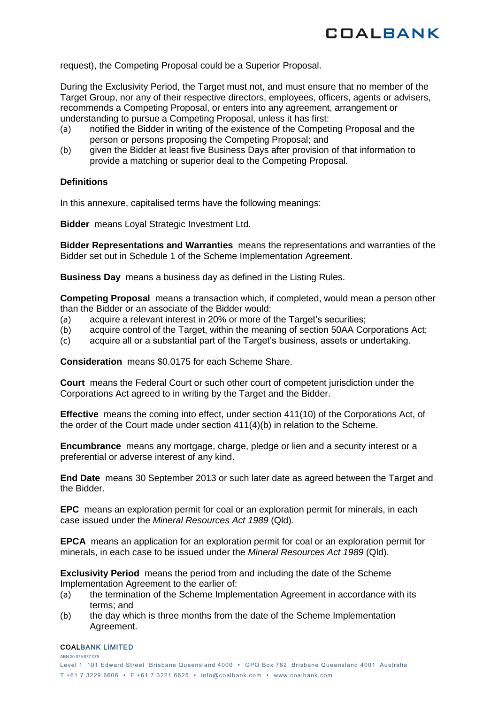

request), the Competing Proposal could be a Superior Proposal.

During the Exclusivity Period, the Target must not, and must ensure that no member of the Target Group, nor any of their respective directors, employees, officers, agents or advisers, recommends a Competing Proposal, or enters into any agreement, arrangement or understanding to pursue a Competing Proposal, unless it has first:

- (a) notified the Bidder in writing of the existence of the Competing Proposal and the person or persons proposing the Competing Proposal; and
- (b) given the Bidder at least five Business Days after provision of that information to provide a matching or superior deal to the Competing Proposal.

## **Definitions**

In this annexure, capitalised terms have the following meanings:

**Bidder** means Loyal Strategic Investment Ltd.

**Bidder Representations and Warranties** means the representations and warranties of the Bidder set out in Schedule 1 of the Scheme Implementation Agreement.

**Business Day** means a business day as defined in the Listing Rules.

**Competing Proposal** means a transaction which, if completed, would mean a person other than the Bidder or an associate of the Bidder would:

- (a) acquire a relevant interest in 20% or more of the Target's securities;
- (b) acquire control of the Target, within the meaning of section 50AA Corporations Act;
- (c) acquire all or a substantial part of the Target's business, assets or undertaking.

**Consideration** means \$0.0175 for each Scheme Share.

**Court** means the Federal Court or such other court of competent jurisdiction under the Corporations Act agreed to in writing by the Target and the Bidder.

**Effective** means the coming into effect, under section 411(10) of the Corporations Act, of the order of the Court made under section 411(4)(b) in relation to the Scheme.

**Encumbrance** means any mortgage, charge, pledge or lien and a security interest or a preferential or adverse interest of any kind.

**End Date** means 30 September 2013 or such later date as agreed between the Target and the Bidder.

**EPC** means an exploration permit for coal or an exploration permit for minerals, in each case issued under the *Mineral Resources Act 1989* (Qld).

**EPCA** means an application for an exploration permit for coal or an exploration permit for minerals, in each case to be issued under the *Mineral Resources Act 1989* (Qld).

**Exclusivity Period** means the period from and including the date of the Scheme Implementation Agreement to the earlier of:

- (a) the termination of the Scheme Implementation Agreement in accordance with its terms; and
- (b) the day which is three months from the date of the Scheme Implementation Agreement.

#### COALBANK LIMITED

ABN 20 075 877 075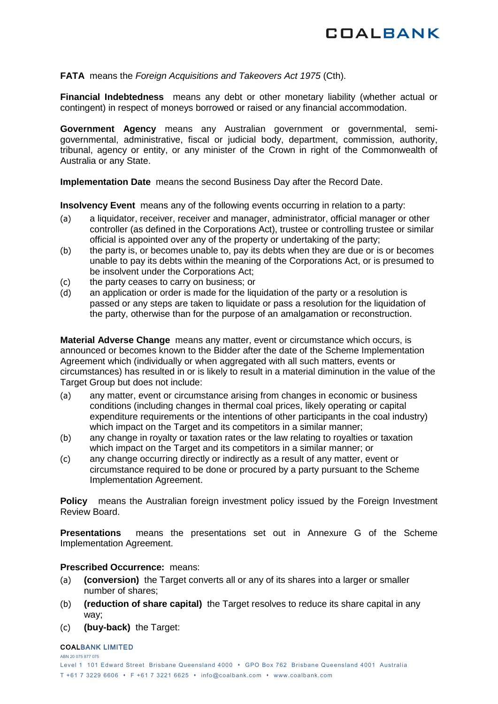## **FATA** means the *Foreign Acquisitions and Takeovers Act 1975* (Cth).

**Financial Indebtedness** means any debt or other monetary liability (whether actual or contingent) in respect of moneys borrowed or raised or any financial accommodation.

**Government Agency** means any Australian government or governmental, semigovernmental, administrative, fiscal or judicial body, department, commission, authority, tribunal, agency or entity, or any minister of the Crown in right of the Commonwealth of Australia or any State.

**Implementation Date** means the second Business Day after the Record Date.

**Insolvency Event** means any of the following events occurring in relation to a party:

- (a) a liquidator, receiver, receiver and manager, administrator, official manager or other controller (as defined in the Corporations Act), trustee or controlling trustee or similar official is appointed over any of the property or undertaking of the party;
- (b) the party is, or becomes unable to, pay its debts when they are due or is or becomes unable to pay its debts within the meaning of the Corporations Act, or is presumed to be insolvent under the Corporations Act;
- (c) the party ceases to carry on business; or
- (d) an application or order is made for the liquidation of the party or a resolution is passed or any steps are taken to liquidate or pass a resolution for the liquidation of the party, otherwise than for the purpose of an amalgamation or reconstruction.

**Material Adverse Change** means any matter, event or circumstance which occurs, is announced or becomes known to the Bidder after the date of the Scheme Implementation Agreement which (individually or when aggregated with all such matters, events or circumstances) has resulted in or is likely to result in a material diminution in the value of the Target Group but does not include:

- (a) any matter, event or circumstance arising from changes in economic or business conditions (including changes in thermal coal prices, likely operating or capital expenditure requirements or the intentions of other participants in the coal industry) which impact on the Target and its competitors in a similar manner:
- (b) any change in royalty or taxation rates or the law relating to royalties or taxation which impact on the Target and its competitors in a similar manner; or
- (c) any change occurring directly or indirectly as a result of any matter, event or circumstance required to be done or procured by a party pursuant to the Scheme Implementation Agreement.

**Policy** means the Australian foreign investment policy issued by the Foreign Investment Review Board.

**Presentations** means the presentations set out in Annexure G of the Scheme Implementation Agreement.

## **Prescribed Occurrence:** means:

- (a) **(conversion)** the Target converts all or any of its shares into a larger or smaller number of shares;
- (b) **(reduction of share capital)** the Target resolves to reduce its share capital in any way;
- (c) **(buy-back)** the Target:

#### COALBANK LIMITED

ABN 20 075 877 075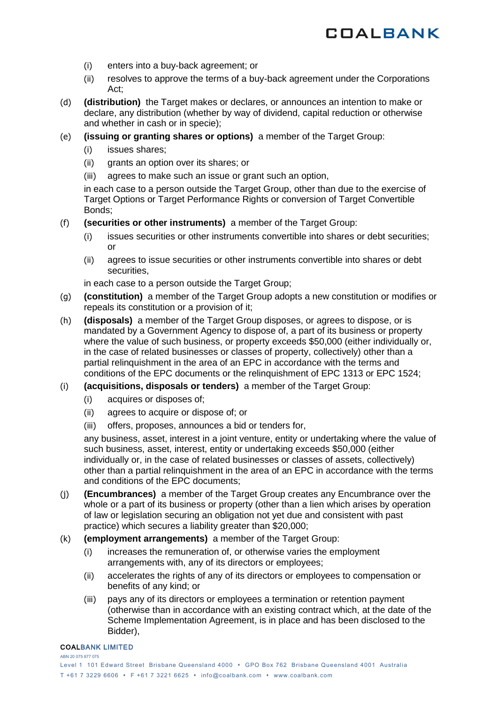

- (i) enters into a buy-back agreement; or
- (ii) resolves to approve the terms of a buy-back agreement under the Corporations Act;
- (d) **(distribution)** the Target makes or declares, or announces an intention to make or declare, any distribution (whether by way of dividend, capital reduction or otherwise and whether in cash or in specie);
- (e) **(issuing or granting shares or options)** a member of the Target Group:
	- (i) issues shares;
	- (ii) grants an option over its shares; or
	- (iii) agrees to make such an issue or grant such an option,

in each case to a person outside the Target Group, other than due to the exercise of Target Options or Target Performance Rights or conversion of Target Convertible Bonds;

- (f) **(securities or other instruments)** a member of the Target Group:
	- (i) issues securities or other instruments convertible into shares or debt securities; or
	- (ii) agrees to issue securities or other instruments convertible into shares or debt securities,

in each case to a person outside the Target Group:

- (g) **(constitution)** a member of the Target Group adopts a new constitution or modifies or repeals its constitution or a provision of it;
- (h) **(disposals)** a member of the Target Group disposes, or agrees to dispose, or is mandated by a Government Agency to dispose of, a part of its business or property where the value of such business, or property exceeds \$50,000 (either individually or, in the case of related businesses or classes of property, collectively) other than a partial relinquishment in the area of an EPC in accordance with the terms and conditions of the EPC documents or the relinquishment of EPC 1313 or EPC 1524;
- (i) **(acquisitions, disposals or tenders)** a member of the Target Group:
	- (i) acquires or disposes of;
	- (ii) agrees to acquire or dispose of; or
	- (iii) offers, proposes, announces a bid or tenders for,

any business, asset, interest in a joint venture, entity or undertaking where the value of such business, asset, interest, entity or undertaking exceeds \$50,000 (either individually or, in the case of related businesses or classes of assets, collectively) other than a partial relinquishment in the area of an EPC in accordance with the terms and conditions of the EPC documents;

- (j) **(Encumbrances)** a member of the Target Group creates any Encumbrance over the whole or a part of its business or property (other than a lien which arises by operation of law or legislation securing an obligation not yet due and consistent with past practice) which secures a liability greater than \$20,000;
- (k) **(employment arrangements)** a member of the Target Group:
	- (i) increases the remuneration of, or otherwise varies the employment arrangements with, any of its directors or employees;
	- (ii) accelerates the rights of any of its directors or employees to compensation or benefits of any kind; or
	- (iii) pays any of its directors or employees a termination or retention payment (otherwise than in accordance with an existing contract which, at the date of the Scheme Implementation Agreement, is in place and has been disclosed to the Bidder),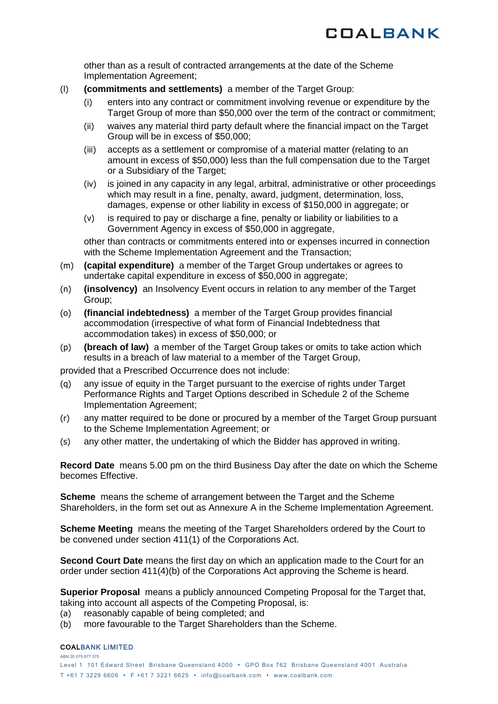other than as a result of contracted arrangements at the date of the Scheme Implementation Agreement;

- (l) **(commitments and settlements)** a member of the Target Group:
	- (i) enters into any contract or commitment involving revenue or expenditure by the Target Group of more than \$50,000 over the term of the contract or commitment;
	- (ii) waives any material third party default where the financial impact on the Target Group will be in excess of \$50,000;
	- (iii) accepts as a settlement or compromise of a material matter (relating to an amount in excess of \$50,000) less than the full compensation due to the Target or a Subsidiary of the Target;
	- (iv) is joined in any capacity in any legal, arbitral, administrative or other proceedings which may result in a fine, penalty, award, judgment, determination, loss, damages, expense or other liability in excess of \$150,000 in aggregate; or
	- (v) is required to pay or discharge a fine, penalty or liability or liabilities to a Government Agency in excess of \$50,000 in aggregate,

other than contracts or commitments entered into or expenses incurred in connection with the Scheme Implementation Agreement and the Transaction;

- (m) **(capital expenditure)** a member of the Target Group undertakes or agrees to undertake capital expenditure in excess of \$50,000 in aggregate;
- (n) **(insolvency)** an Insolvency Event occurs in relation to any member of the Target Group;
- (o) **(financial indebtedness)** a member of the Target Group provides financial accommodation (irrespective of what form of Financial Indebtedness that accommodation takes) in excess of \$50,000; or
- (p) **(breach of law)** a member of the Target Group takes or omits to take action which results in a breach of law material to a member of the Target Group,

provided that a Prescribed Occurrence does not include:

- (q) any issue of equity in the Target pursuant to the exercise of rights under Target Performance Rights and Target Options described in Schedule 2 of the Scheme Implementation Agreement;
- (r) any matter required to be done or procured by a member of the Target Group pursuant to the Scheme Implementation Agreement; or
- (s) any other matter, the undertaking of which the Bidder has approved in writing.

**Record Date** means 5.00 pm on the third Business Day after the date on which the Scheme becomes Effective.

**Scheme** means the scheme of arrangement between the Target and the Scheme Shareholders, in the form set out as Annexure A in the Scheme Implementation Agreement.

**Scheme Meeting** means the meeting of the Target Shareholders ordered by the Court to be convened under section 411(1) of the Corporations Act.

**Second Court Date** means the first day on which an application made to the Court for an order under section 411(4)(b) of the Corporations Act approving the Scheme is heard.

**Superior Proposal** means a publicly announced Competing Proposal for the Target that, taking into account all aspects of the Competing Proposal, is:

- (a) reasonably capable of being completed; and
- (b) more favourable to the Target Shareholders than the Scheme.

#### COALBANK LIMITED